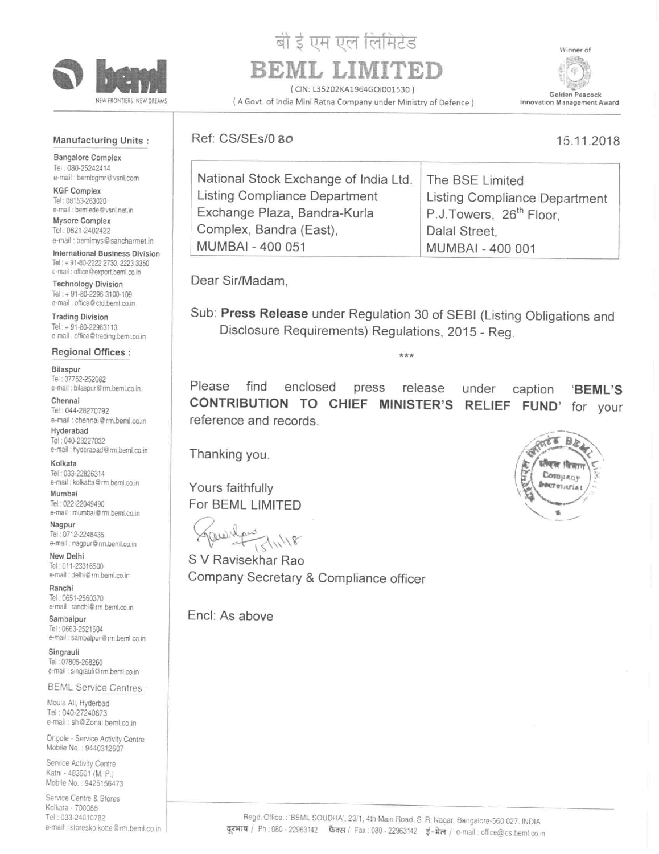

# बी ई एम एल लिमिटेड BEML LIMI

(CIN: L35202KA1964GOI001530)

( A Govt. of India Mini Ratna Company under Ministry of Defence)

Winner of ű Golden Peacock Innovation Management Award

15.11.2018

#### **Manufacturing Units:**

**Bangalore Complex** Tel: 080-25242414 e-mail : bemlogmr@vsnl.com

**KGF Complex** Tel: 08153-263020 e-mail : bemlede@vsnl.net.in Mysore Complex

Tel: 0821-2402422 e-mail : bemlmys@sancharmet.in

International Business Division Tel: + 91-80-2222 2730, 2223 3350 e-mail : office@export.bemi.co.in

**Technology Division** Tel: + 91-80-2296 3100-109 e-mail : office@ctd.beml.co.in

**Trading Division** Tel: + 91-80-22963113 e-mail: office@trading.beml.co.in

**Regional Offices:** 

Bilaspur Tel: 07752-252082 e-mail : bilaspur@rm.beml.co.in

Chennai Tel: 044-28270792 e-mail : chennai@rm.beml.co.in

Hyderabad Tel: 040-23227032 e-mail : hyderabad@rm.beml.co.in

Kolkata Tel: 033-22826314 e-mail : kolkatta@rm.beml.co.in

Mumbai Tel: 022-22049490 e-mail : mumbai@rm.beml.co.in

Nagpur Tel: 0712-2248435 e-mail : nagpur@rm.beml.co.in

New Delhi Tel: 011-23316500 e-mail : delhi@rm.beml.co.in

Ranchi Tel: 0651-2560370 e-mail : ranchi@rm.beml.co.in

Sambalpur Tel: 0663-2521604 e-mail : sambalpur@rm.beml.co.in

Singrauli Tel: 07805-268260 e-mail : singrauli@rm.beml.co.in

**BEML Service Centres:** 

Moula Ali, Hyderbad Tel: 040-27240873 e-mail: sh@Zonal.beml.co.in

Ongole - Service Activity Centre Mobile No.: 9440312607

Service Activity Centre Katni - 483501 (M. P.) Mobile No.: 9425156473

Service Centre & Stores Kolkata - 700088 Tel: 033-24010782 e-mail : storeskolkotte@rm.beml.co.in

## Ref: CS/SEs/0 80

| National Stock Exchange of India Ltd.   The BSE Limited |                                     |
|---------------------------------------------------------|-------------------------------------|
| Listing Compliance Department                           | Listing Compliance Department       |
| Exchange Plaza, Bandra-Kurla                            | P.J.Towers, 26 <sup>th</sup> Floor. |
| Complex, Bandra (East),                                 | Dalal Street,                       |
| <b>MUMBAI - 400 051</b>                                 | MUMBAI - 400 001                    |

Dear Sir/Madam.

Sub: Press Release under Regulation 30 of SEBI (Listing Obligations and Disclosure Requirements) Regulations, 2015 - Reg.

\*\*\*

Please find enclosed press release under 'BEML'S caption CONTRIBUTION TO CHIEF MINISTER'S **RELIEF** FUND' for your reference and records.

Thanking you.

Yours faithfully For BEML LIMITED

awith  $7/11/18$ 

S V Ravisekhar Rao Company Secretary & Compliance officer

Encl: As above

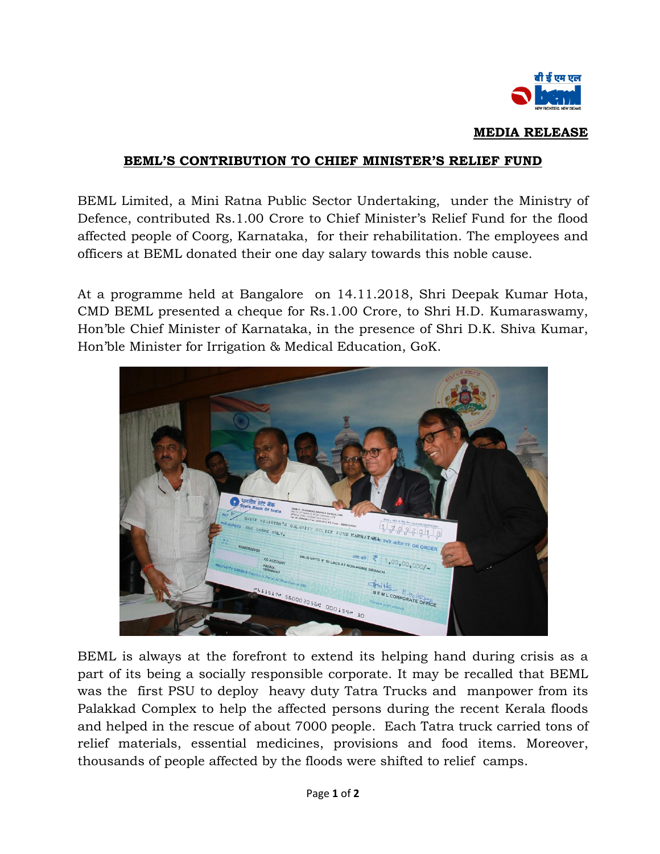

#### **MEDIA RELEASE**

### **BEML'S CONTRIBUTION TO CHIEF MINISTER'S RELIEF FUND**

BEML Limited, a Mini Ratna Public Sector Undertaking, under the Ministry of Defence, contributed Rs.1.00 Crore to Chief Minister's Relief Fund for the flood affected people of Coorg, Karnataka, for their rehabilitation. The employees and officers at BEML donated their one day salary towards this noble cause.

At a programme held at Bangalore on 14.11.2018, Shri Deepak Kumar Hota, CMD BEML presented a cheque for Rs.1.00 Crore, to Shri H.D. Kumaraswamy, Hon'ble Chief Minister of Karnataka, in the presence of Shri D.K. Shiva Kumar, Hon'ble Minister for Irrigation & Medical Education, GoK.



BEML is always at the forefront to extend its helping hand during crisis as a part of its being a socially responsible corporate. It may be recalled that BEML was the first PSU to deploy heavy duty Tatra Trucks and manpower from its Palakkad Complex to help the affected persons during the recent Kerala floods and helped in the rescue of about 7000 people. Each Tatra truck carried tons of relief materials, essential medicines, provisions and food items. Moreover, thousands of people affected by the floods were shifted to relief camps.